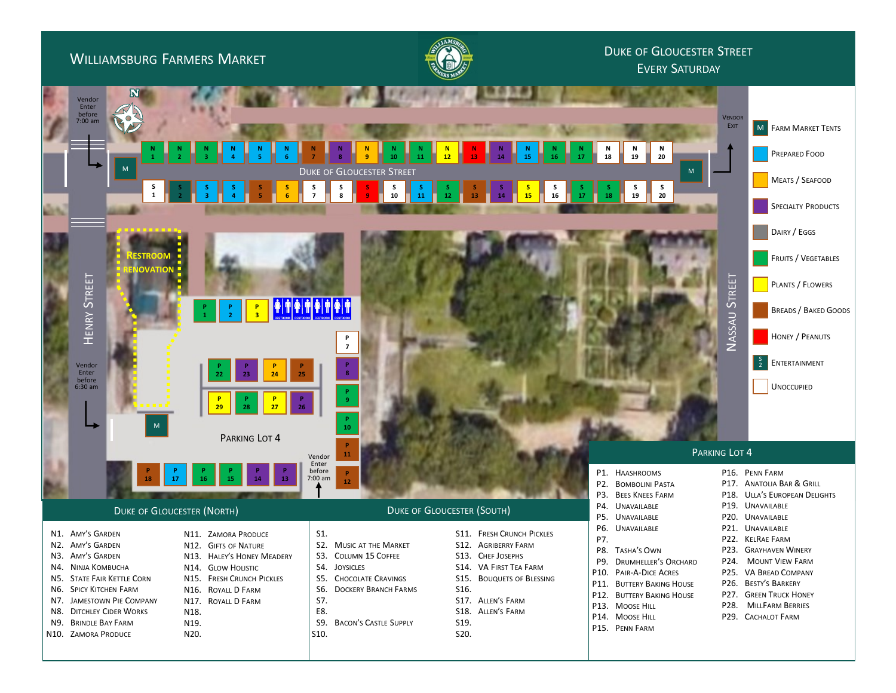